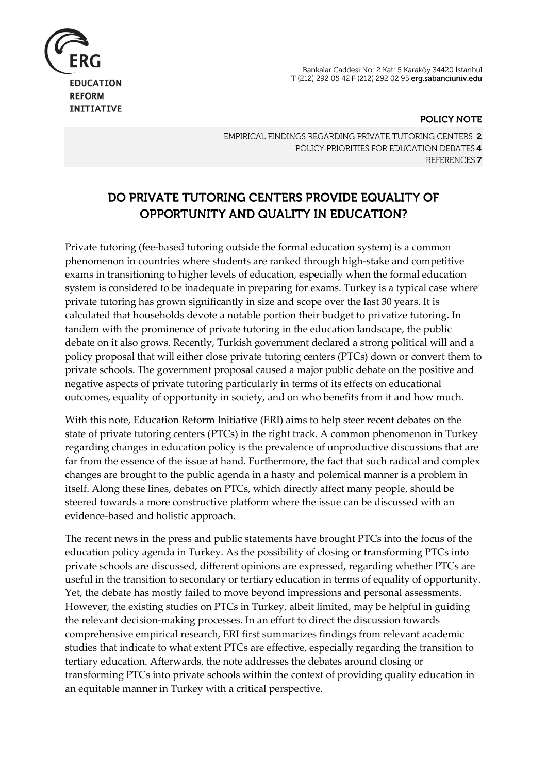Bankalar Caddesi No: 2 Kat: 5 Karaköy 34420 İstanbul T (212) 292 05 42 F (212) 292 02 95 erg.sabanciuniv.edu



**INITIATIVE** 

#### POLICY NOTE

EMPIRICAL FINDINGS REGARDING PRIVATE TUTORING CENTERS 2 POLICY PRIORITIES FOR EDUCATION DEBATES 4 REFERENCES<sub>7</sub>

# DO PRIVATE TUTORING CENTERS PROVIDE EQUALITY OF **OPPORTUNITY AND QUALITY IN EDUCATION?**

Private tutoring (fee-based tutoring outside the formal education system) is a common phenomenon in countries where students are ranked through high-stake and competitive exams in transitioning to higher levels of education, especially when the formal education system is considered to be inadequate in preparing for exams. Turkey is a typical case where private tutoring has grown significantly in size and scope over the last 30 years. It is calculated that households devote a notable portion their budget to privatize tutoring. In tandem with the prominence of private tutoring in the education landscape, the public debate on it also grows. Recently, Turkish government declared a strong political will and a policy proposal that will either close private tutoring centers (PTCs) down or convert them to private schools. The government proposal caused a major public debate on the positive and negative aspects of private tutoring particularly in terms of its effects on educational outcomes, equality of opportunity in society, and on who benefits from it and how much.

With this note, Education Reform Initiative (ERI) aims to help steer recent debates on the state of private tutoring centers (PTCs) in the right track. A common phenomenon in Turkey regarding changes in education policy is the prevalence of unproductive discussions that are far from the essence of the issue at hand. Furthermore, the fact that such radical and complex changes are brought to the public agenda in a hasty and polemical manner is a problem in itself. Along these lines, debates on PTCs, which directly affect many people, should be steered towards a more constructive platform where the issue can be discussed with an evidence-based and holistic approach.

The recent news in the press and public statements have brought PTCs into the focus of the education policy agenda in Turkey. As the possibility of closing or transforming PTCs into private schools are discussed, different opinions are expressed, regarding whether PTCs are useful in the transition to secondary or tertiary education in terms of equality of opportunity. Yet, the debate has mostly failed to move beyond impressions and personal assessments. However, the existing studies on PTCs in Turkey, albeit limited, may be helpful in guiding the relevant decision-making processes. In an effort to direct the discussion towards comprehensive empirical research, ERI first summarizes findings from relevant academic studies that indicate to what extent PTCs are effective, especially regarding the transition to tertiary education. Afterwards, the note addresses the debates around closing or transforming PTCs into private schools within the context of providing quality education in an equitable manner in Turkey with a critical perspective.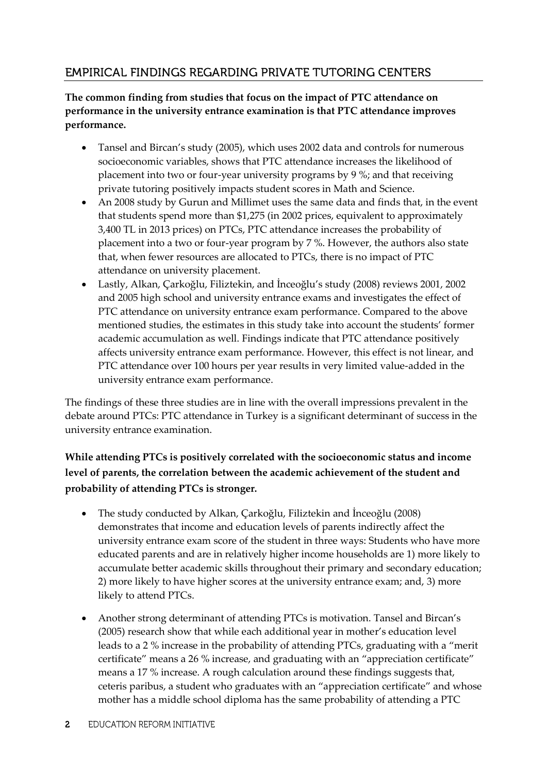## **EMPIRICAL FINDINGS REGARDING PRIVATE TUTORING CENTERS**

#### **The common finding from studies that focus on the impact of PTC attendance on performance in the university entrance examination is that PTC attendance improves performance.**

- Tansel and Bircan's study (2005), which uses 2002 data and controls for numerous socioeconomic variables, shows that PTC attendance increases the likelihood of placement into two or four-year university programs by 9 %; and that receiving private tutoring positively impacts student scores in Math and Science.
- An 2008 study by Gurun and Millimet uses the same data and finds that, in the event that students spend more than \$1,275 (in 2002 prices, equivalent to approximately 3,400 TL in 2013 prices) on PTCs, PTC attendance increases the probability of placement into a two or four-year program by 7 %. However, the authors also state that, when fewer resources are allocated to PTCs, there is no impact of PTC attendance on university placement.
- Lastly, Alkan, Çarkoğlu, Filiztekin, and İnceoğlu's study (2008) reviews 2001, 2002 and 2005 high school and university entrance exams and investigates the effect of PTC attendance on university entrance exam performance. Compared to the above mentioned studies, the estimates in this study take into account the students' former academic accumulation as well. Findings indicate that PTC attendance positively affects university entrance exam performance. However, this effect is not linear, and PTC attendance over 100 hours per year results in very limited value-added in the university entrance exam performance.

The findings of these three studies are in line with the overall impressions prevalent in the debate around PTCs: PTC attendance in Turkey is a significant determinant of success in the university entrance examination.

### **While attending PTCs is positively correlated with the socioeconomic status and income level of parents, the correlation between the academic achievement of the student and probability of attending PTCs is stronger.**

- The study conducted by Alkan, Çarkoğlu, Filiztekin and İnceoğlu (2008) demonstrates that income and education levels of parents indirectly affect the university entrance exam score of the student in three ways: Students who have more educated parents and are in relatively higher income households are 1) more likely to accumulate better academic skills throughout their primary and secondary education; 2) more likely to have higher scores at the university entrance exam; and, 3) more likely to attend PTCs.
- Another strong determinant of attending PTCs is motivation. Tansel and Bircan's (2005) research show that while each additional year in mother's education level leads to a 2 % increase in the probability of attending PTCs, graduating with a "merit certificate" means a 26 % increase, and graduating with an "appreciation certificate" means a 17 % increase. A rough calculation around these findings suggests that, ceteris paribus, a student who graduates with an "appreciation certificate" and whose mother has a middle school diploma has the same probability of attending a PTC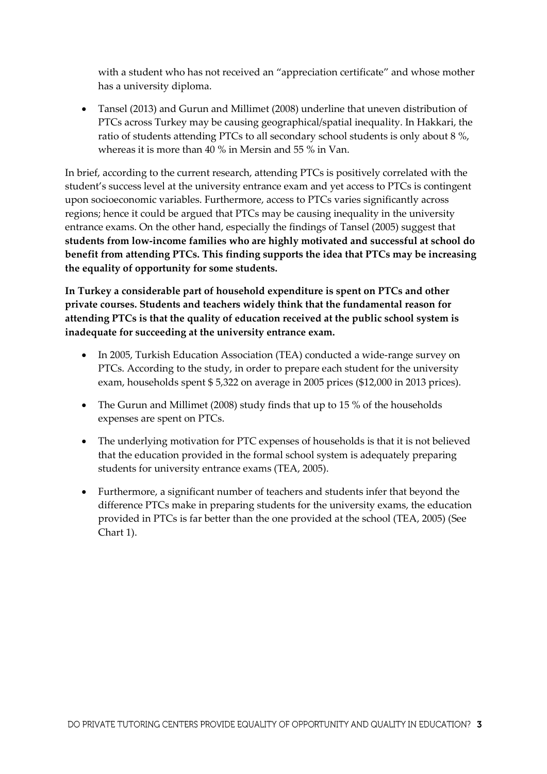with a student who has not received an "appreciation certificate" and whose mother has a university diploma.

 Tansel (2013) and Gurun and Millimet (2008) underline that uneven distribution of PTCs across Turkey may be causing geographical/spatial inequality. In Hakkari, the ratio of students attending PTCs to all secondary school students is only about 8 %, whereas it is more than 40 % in Mersin and 55 % in Van.

In brief, according to the current research, attending PTCs is positively correlated with the student's success level at the university entrance exam and yet access to PTCs is contingent upon socioeconomic variables. Furthermore, access to PTCs varies significantly across regions; hence it could be argued that PTCs may be causing inequality in the university entrance exams. On the other hand, especially the findings of Tansel (2005) suggest that **students from low-income families who are highly motivated and successful at school do benefit from attending PTCs. This finding supports the idea that PTCs may be increasing the equality of opportunity for some students.**

**In Turkey a considerable part of household expenditure is spent on PTCs and other private courses. Students and teachers widely think that the fundamental reason for attending PTCs is that the quality of education received at the public school system is inadequate for succeeding at the university entrance exam.**

- In 2005, Turkish Education Association (TEA) conducted a wide-range survey on PTCs. According to the study, in order to prepare each student for the university exam, households spent \$ 5,322 on average in 2005 prices (\$12,000 in 2013 prices).
- The Gurun and Millimet (2008) study finds that up to 15 % of the households expenses are spent on PTCs.
- The underlying motivation for PTC expenses of households is that it is not believed that the education provided in the formal school system is adequately preparing students for university entrance exams (TEA, 2005).
- Furthermore, a significant number of teachers and students infer that beyond the difference PTCs make in preparing students for the university exams, the education provided in PTCs is far better than the one provided at the school (TEA, 2005) (See Chart 1).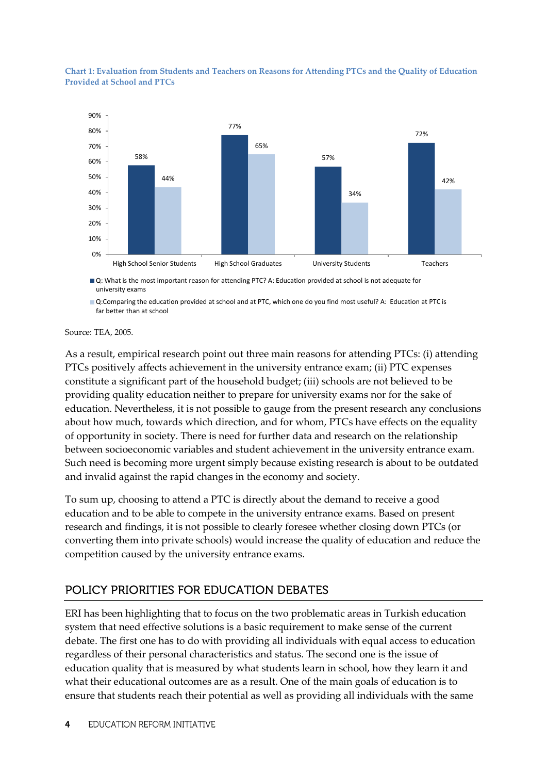

**Chart 1: Evaluation from Students and Teachers on Reasons for Attending PTCs and the Quality of Education Provided at School and PTCs**

■ Q: What is the most important reason for attending PTC? A: Education provided at school is not adequate for university exams

■ Q:Comparing the education provided at school and at PTC, which one do you find most useful? A: Education at PTC is far better than at school

Source: TEA, 2005.

As a result, empirical research point out three main reasons for attending PTCs: (i) attending PTCs positively affects achievement in the university entrance exam; (ii) PTC expenses constitute a significant part of the household budget; (iii) schools are not believed to be providing quality education neither to prepare for university exams nor for the sake of education. Nevertheless, it is not possible to gauge from the present research any conclusions about how much, towards which direction, and for whom, PTCs have effects on the equality of opportunity in society. There is need for further data and research on the relationship between socioeconomic variables and student achievement in the university entrance exam. Such need is becoming more urgent simply because existing research is about to be outdated and invalid against the rapid changes in the economy and society.

To sum up, choosing to attend a PTC is directly about the demand to receive a good education and to be able to compete in the university entrance exams. Based on present research and findings, it is not possible to clearly foresee whether closing down PTCs (or converting them into private schools) would increase the quality of education and reduce the competition caused by the university entrance exams.

## POLICY PRIORITIES FOR EDUCATION DEBATES

ERI has been highlighting that to focus on the two problematic areas in Turkish education system that need effective solutions is a basic requirement to make sense of the current debate. The first one has to do with providing all individuals with equal access to education regardless of their personal characteristics and status. The second one is the issue of education quality that is measured by what students learn in school, how they learn it and what their educational outcomes are as a result. One of the main goals of education is to ensure that students reach their potential as well as providing all individuals with the same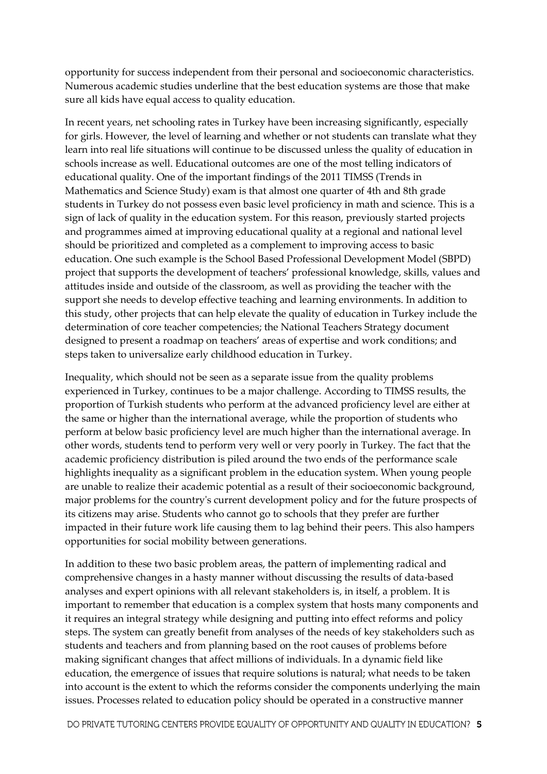opportunity for success independent from their personal and socioeconomic characteristics. Numerous academic studies underline that the best education systems are those that make sure all kids have equal access to quality education.

In recent years, net schooling rates in Turkey have been increasing significantly, especially for girls. However, the level of learning and whether or not students can translate what they learn into real life situations will continue to be discussed unless the quality of education in schools increase as well. Educational outcomes are one of the most telling indicators of educational quality. One of the important findings of the 2011 TIMSS (Trends in Mathematics and Science Study) exam is that almost one quarter of 4th and 8th grade students in Turkey do not possess even basic level proficiency in math and science. This is a sign of lack of quality in the education system. For this reason, previously started projects and programmes aimed at improving educational quality at a regional and national level should be prioritized and completed as a complement to improving access to basic education. One such example is the School Based Professional Development Model (SBPD) project that supports the development of teachers' professional knowledge, skills, values and attitudes inside and outside of the classroom, as well as providing the teacher with the support she needs to develop effective teaching and learning environments. In addition to this study, other projects that can help elevate the quality of education in Turkey include the determination of core teacher competencies; the National Teachers Strategy document designed to present a roadmap on teachers' areas of expertise and work conditions; and steps taken to universalize early childhood education in Turkey.

Inequality, which should not be seen as a separate issue from the quality problems experienced in Turkey, continues to be a major challenge. According to TIMSS results, the proportion of Turkish students who perform at the advanced proficiency level are either at the same or higher than the international average, while the proportion of students who perform at below basic proficiency level are much higher than the international average. In other words, students tend to perform very well or very poorly in Turkey. The fact that the academic proficiency distribution is piled around the two ends of the performance scale highlights inequality as a significant problem in the education system. When young people are unable to realize their academic potential as a result of their socioeconomic background, major problems for the country's current development policy and for the future prospects of its citizens may arise. Students who cannot go to schools that they prefer are further impacted in their future work life causing them to lag behind their peers. This also hampers opportunities for social mobility between generations.

In addition to these two basic problem areas, the pattern of implementing radical and comprehensive changes in a hasty manner without discussing the results of data-based analyses and expert opinions with all relevant stakeholders is, in itself, a problem. It is important to remember that education is a complex system that hosts many components and it requires an integral strategy while designing and putting into effect reforms and policy steps. The system can greatly benefit from analyses of the needs of key stakeholders such as students and teachers and from planning based on the root causes of problems before making significant changes that affect millions of individuals. In a dynamic field like education, the emergence of issues that require solutions is natural; what needs to be taken into account is the extent to which the reforms consider the components underlying the main issues. Processes related to education policy should be operated in a constructive manner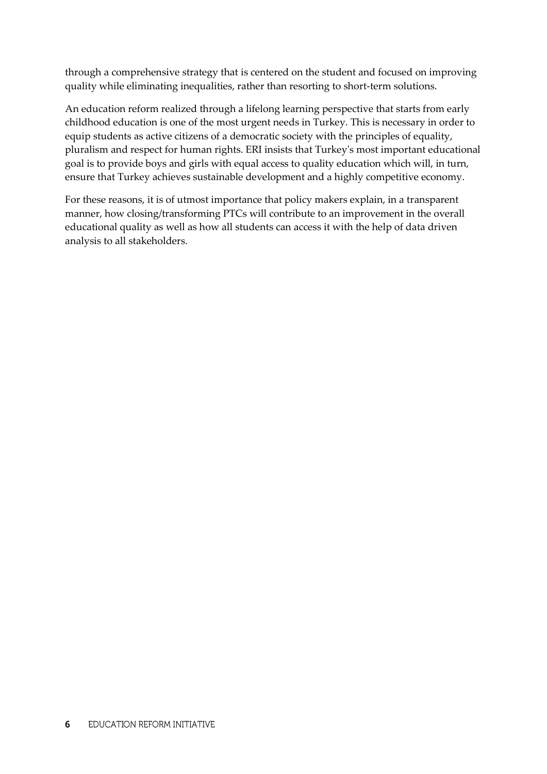through a comprehensive strategy that is centered on the student and focused on improving quality while eliminating inequalities, rather than resorting to short-term solutions.

An education reform realized through a lifelong learning perspective that starts from early childhood education is one of the most urgent needs in Turkey. This is necessary in order to equip students as active citizens of a democratic society with the principles of equality, pluralism and respect for human rights. ERI insists that Turkey's most important educational goal is to provide boys and girls with equal access to quality education which will, in turn, ensure that Turkey achieves sustainable development and a highly competitive economy.

For these reasons, it is of utmost importance that policy makers explain, in a transparent manner, how closing/transforming PTCs will contribute to an improvement in the overall educational quality as well as how all students can access it with the help of data driven analysis to all stakeholders.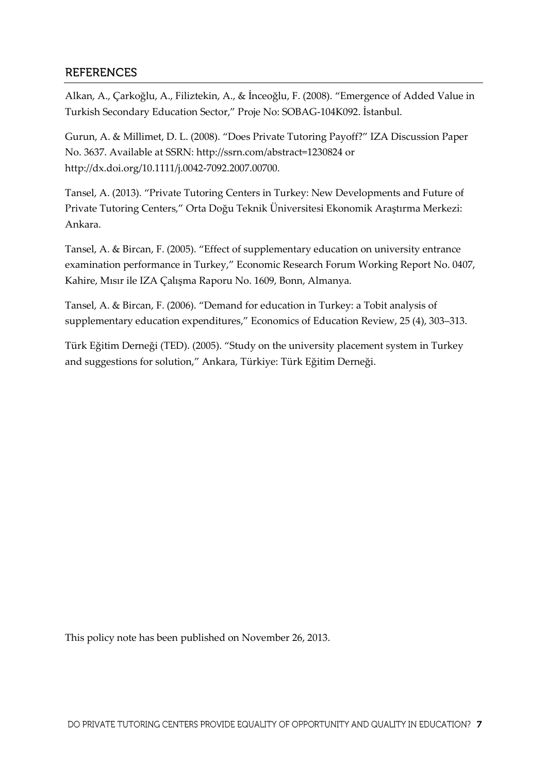### **REFERENCES**

Alkan, A., Çarkoğlu, A., Filiztekin, A., & İnceoğlu, F. (2008). "Emergence of Added Value in Turkish Secondary Education Sector," Proje No: SOBAG-104K092. İstanbul.

Gurun, A. & Millimet, D. L. (2008). "Does Private Tutoring Payoff?" IZA Discussion Paper No. 3637. Available at SSRN: http://ssrn.com/abstract=1230824 or http://dx.doi.org/10.1111/j.0042-7092.2007.00700.

Tansel, A. (2013). "Private Tutoring Centers in Turkey: New Developments and Future of Private Tutoring Centers," Orta Doğu Teknik Üniversitesi Ekonomik Araştırma Merkezi: Ankara.

Tansel, A. & Bircan, F. (2005). "Effect of supplementary education on university entrance examination performance in Turkey," Economic Research Forum Working Report No. 0407, Kahire, Mısır ile IZA Çalışma Raporu No. 1609, Bonn, Almanya.

Tansel, A. & Bircan, F. (2006). "Demand for education in Turkey: a Tobit analysis of supplementary education expenditures," Economics of Education Review, 25 (4), 303–313.

Türk Eğitim Derneği (TED). (2005). "Study on the university placement system in Turkey and suggestions for solution," Ankara, Türkiye: Türk Eğitim Derneği.

This policy note has been published on November 26, 2013.